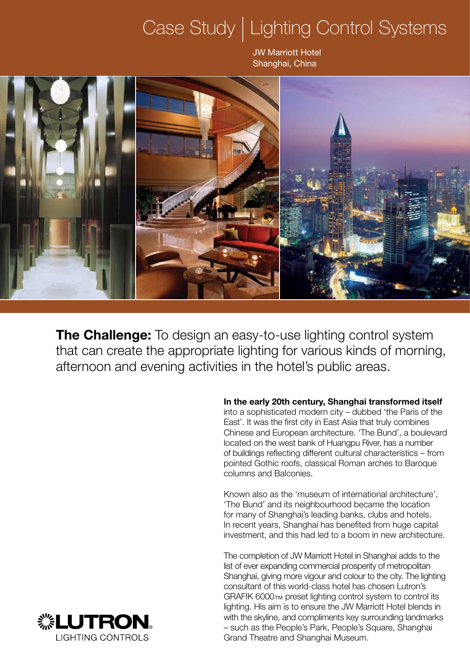## Case Study | Lighting Control Systems

JW Marriott Hotel Shanghai, China



**The Challenge:** To design an easy-to-use lighting control system that can create the appropriate lighting for various kinds of morning, afternoon and evening activities in the hotel's public areas.

> **In the early 20th century, Shanghai transformed itself**  into a sophisticated modern city – dubbed 'the Paris of the East'. It was the first city in East Asia that truly combines Chinese and European architecture. 'The Bund', a boulevard located on the west bank of Huangpu River, has a number of buildings reflecting different cultural characteristics – from pointed Gothic roofs, classical Roman arches to Baroque columns and Balconies.

Known also as the 'museum of international architecture', 'The Bund' and its neighbourhood became the location for many of Shanghai's leading banks, clubs and hotels. In recent years, Shanghai has benefited from huge capital investment, and this had led to a boom in new architecture.

The completion of JW Marriott Hotel in Shanghai adds to the list of ever expanding commercial prosperity of metropolitan Shanghai, giving more vigour and colour to the city. The lighting consultant of this world-class hotel has chosen Lutron's GRAFIK 6000<sub>TM</sub> preset lighting control system to control its lighting. His aim is to ensure the JW Marriott Hotel blends in with the skyline, and compliments key surrounding landmarks – such as the People's Park, People's Square, Shanghai Grand Theatre and Shanghai Museum.

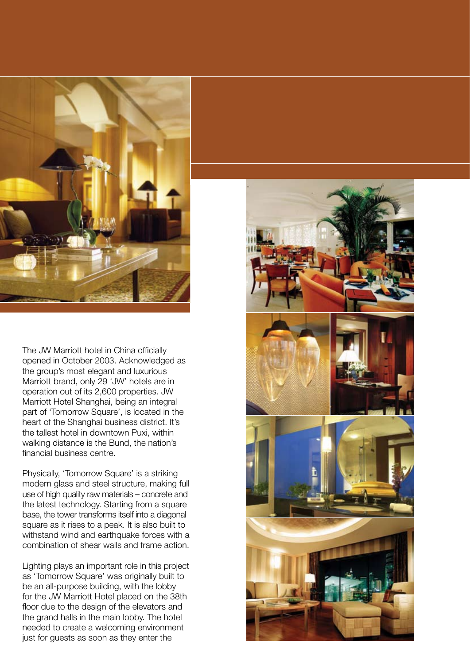

The JW Marriott hotel in China officially opened in October 2003. Acknowledged as the group's most elegant and luxurious Marriott brand, only 29 'JW' hotels are in operation out of its 2,600 properties. JW Marriott Hotel Shanghai, being an integral part of 'Tomorrow Square', is located in the heart of the Shanghai business district. It's the tallest hotel in downtown Puxi, within walking distance is the Bund, the nation's financial business centre.

Physically, 'Tomorrow Square' is a striking modern glass and steel structure, making full use of high quality raw materials – concrete and the latest technology. Starting from a square base, the tower transforms itself into a diagonal square as it rises to a peak. It is also built to withstand wind and earthquake forces with a combination of shear walls and frame action.

Lighting plays an important role in this project as 'Tomorrow Square' was originally built to be an all-purpose building, with the lobby for the JW Marriott Hotel placed on the 38th floor due to the design of the elevators and the grand halls in the main lobby. The hotel needed to create a welcoming environment just for guests as soon as they enter the

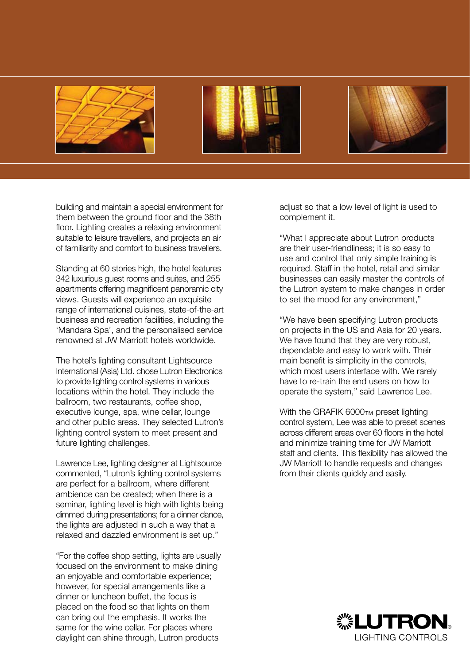





building and maintain a special environment for them between the ground floor and the 38th floor. Lighting creates a relaxing environment suitable to leisure travellers, and projects an air of familiarity and comfort to business travellers.

Standing at 60 stories high, the hotel features 342 luxurious guest rooms and suites, and 255 apartments offering magnificent panoramic city views. Guests will experience an exquisite range of international cuisines, state-of-the-art business and recreation facilities, including the 'Mandara Spa', and the personalised service renowned at JW Marriott hotels worldwide.

The hotel's lighting consultant Lightsource International (Asia) Ltd. chose Lutron Electronics to provide lighting control systems in various locations within the hotel. They include the ballroom, two restaurants, coffee shop, executive lounge, spa, wine cellar, lounge and other public areas. They selected Lutron's lighting control system to meet present and future lighting challenges.

Lawrence Lee, lighting designer at Lightsource commented, "Lutron's lighting control systems are perfect for a ballroom, where different ambience can be created; when there is a seminar, lighting level is high with lights being dimmed during presentations; for a dinner dance, the lights are adjusted in such a way that a relaxed and dazzled environment is set up."

"For the coffee shop setting, lights are usually focused on the environment to make dining an enjoyable and comfortable experience; however, for special arrangements like a dinner or luncheon buffet, the focus is placed on the food so that lights on them can bring out the emphasis. It works the same for the wine cellar. For places where daylight can shine through, Lutron products

adjust so that a low level of light is used to complement it.

"What I appreciate about Lutron products are their user-friendliness; it is so easy to use and control that only simple training is required. Staff in the hotel, retail and similar businesses can easily master the controls of the Lutron system to make changes in order to set the mood for any environment,"

"We have been specifying Lutron products on projects in the US and Asia for 20 years. We have found that they are very robust, dependable and easy to work with. Their main benefit is simplicity in the controls, which most users interface with. We rarely have to re-train the end users on how to operate the system," said Lawrence Lee.

With the GRAFIK 6000TM preset lighting control system, Lee was able to preset scenes across different areas over 60 floors in the hotel and minimize training time for JW Marriott staff and clients. This flexibility has allowed the JW Marriott to handle requests and changes from their clients quickly and easily.